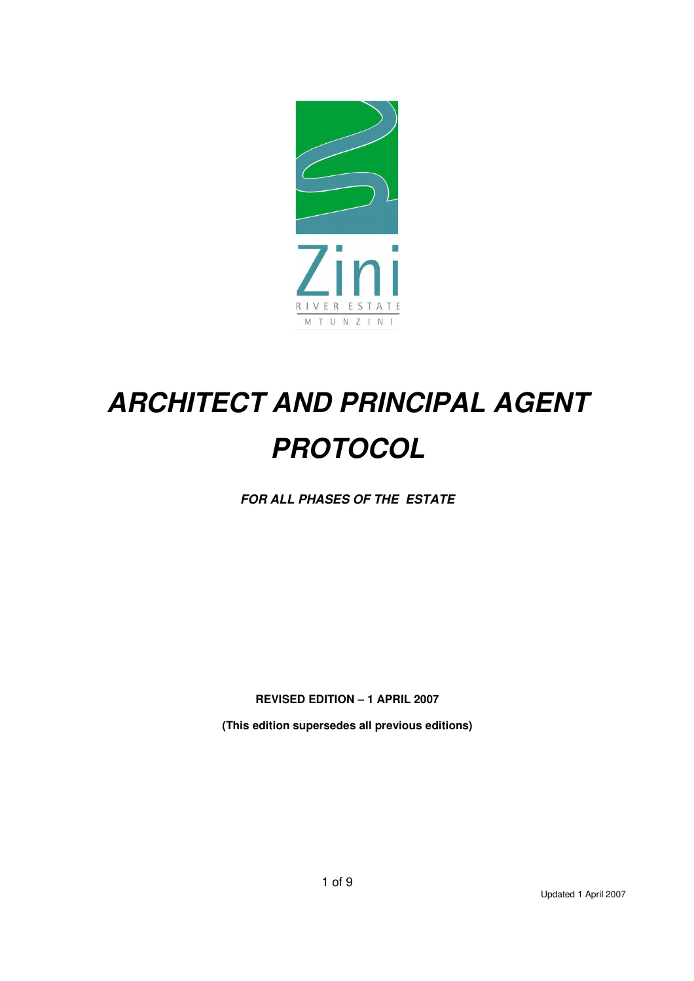

# *ARCHITECT AND PRINCIPAL AGENT PROTOCOL*

*FOR ALL PHASES OF THE ESTATE* 

**REVISED EDITION – 1 APRIL 2007** 

**(This edition supersedes all previous editions)**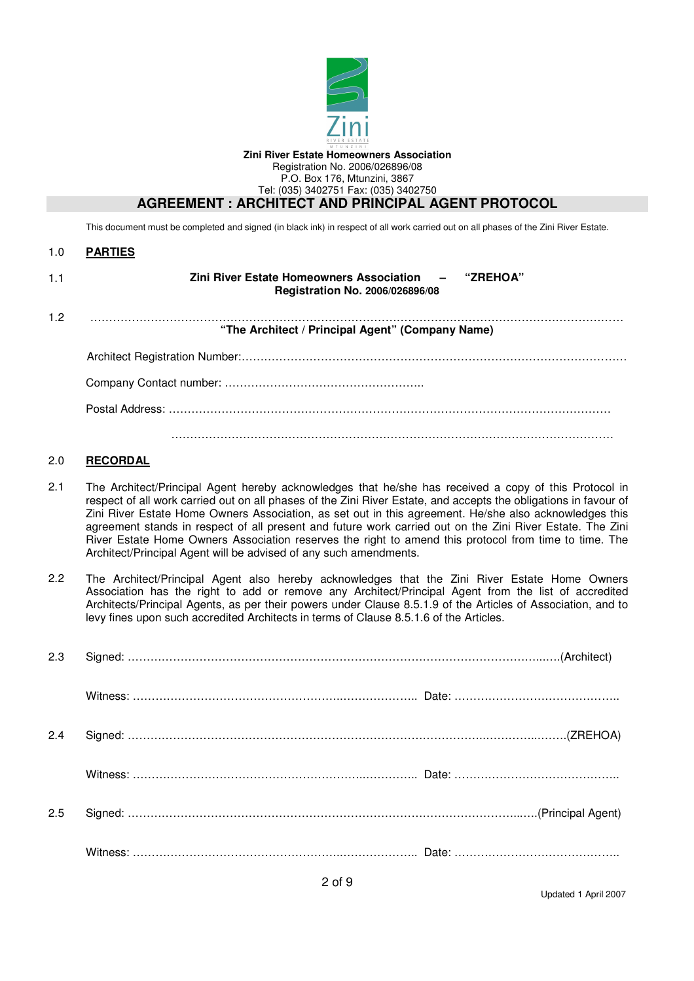

This document must be completed and signed (in black ink) in respect of all work carried out on all phases of the Zini River Estate.

| <b>PARTIES</b> |
|----------------|
|                |

| 1.1 | Zini River Estate Homeowners Association - "ZREHOA"<br>Registration No. 2006/026896/08 |  |
|-----|----------------------------------------------------------------------------------------|--|
| 1.2 | "The Architect / Principal Agent" (Company Name)                                       |  |
|     |                                                                                        |  |
|     |                                                                                        |  |
|     |                                                                                        |  |
|     |                                                                                        |  |

#### 2.0 **RECORDAL**

- 2.1 The Architect/Principal Agent hereby acknowledges that he/she has received a copy of this Protocol in respect of all work carried out on all phases of the Zini River Estate, and accepts the obligations in favour of Zini River Estate Home Owners Association, as set out in this agreement. He/she also acknowledges this agreement stands in respect of all present and future work carried out on the Zini River Estate. The Zini River Estate Home Owners Association reserves the right to amend this protocol from time to time. The Architect/Principal Agent will be advised of any such amendments.
- 2.2 The Architect/Principal Agent also hereby acknowledges that the Zini River Estate Home Owners Association has the right to add or remove any Architect/Principal Agent from the list of accredited Architects/Principal Agents, as per their powers under Clause 8.5.1.9 of the Articles of Association, and to levy fines upon such accredited Architects in terms of Clause 8.5.1.6 of the Articles.

| 2.3 |  |
|-----|--|
|     |  |
| 2.4 |  |
|     |  |
| 2.5 |  |
|     |  |

Updated 1 April 2007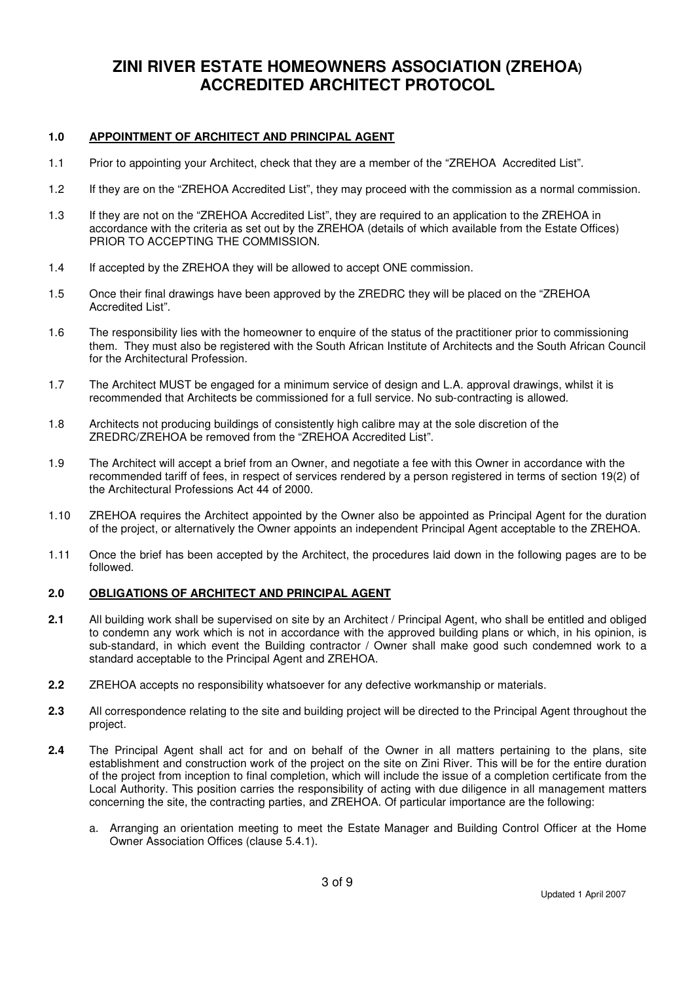## **ZINI RIVER ESTATE HOMEOWNERS ASSOCIATION (ZREHOA) ACCREDITED ARCHITECT PROTOCOL**

#### **1.0 APPOINTMENT OF ARCHITECT AND PRINCIPAL AGENT**

- 1.1 Prior to appointing your Architect, check that they are a member of the "ZREHOA Accredited List".
- 1.2 If they are on the "ZREHOA Accredited List", they may proceed with the commission as a normal commission.
- 1.3 If they are not on the "ZREHOA Accredited List", they are required to an application to the ZREHOA in accordance with the criteria as set out by the ZREHOA (details of which available from the Estate Offices) PRIOR TO ACCEPTING THE COMMISSION.
- 1.4 If accepted by the ZREHOA they will be allowed to accept ONE commission.
- 1.5 Once their final drawings have been approved by the ZREDRC they will be placed on the "ZREHOA Accredited List".
- 1.6 The responsibility lies with the homeowner to enquire of the status of the practitioner prior to commissioning them. They must also be registered with the South African Institute of Architects and the South African Council for the Architectural Profession.
- 1.7 The Architect MUST be engaged for a minimum service of design and L.A. approval drawings, whilst it is recommended that Architects be commissioned for a full service. No sub-contracting is allowed.
- 1.8 Architects not producing buildings of consistently high calibre may at the sole discretion of the ZREDRC/ZREHOA be removed from the "ZREHOA Accredited List".
- 1.9 The Architect will accept a brief from an Owner, and negotiate a fee with this Owner in accordance with the recommended tariff of fees, in respect of services rendered by a person registered in terms of section 19(2) of the Architectural Professions Act 44 of 2000.
- 1.10 ZREHOA requires the Architect appointed by the Owner also be appointed as Principal Agent for the duration of the project, or alternatively the Owner appoints an independent Principal Agent acceptable to the ZREHOA.
- 1.11 Once the brief has been accepted by the Architect, the procedures laid down in the following pages are to be followed.

### **2.0 OBLIGATIONS OF ARCHITECT AND PRINCIPAL AGENT**

- **2.1** All building work shall be supervised on site by an Architect / Principal Agent, who shall be entitled and obliged to condemn any work which is not in accordance with the approved building plans or which, in his opinion, is sub-standard, in which event the Building contractor / Owner shall make good such condemned work to a standard acceptable to the Principal Agent and ZREHOA.
- **2.2** ZREHOA accepts no responsibility whatsoever for any defective workmanship or materials.
- **2.3** All correspondence relating to the site and building project will be directed to the Principal Agent throughout the project.
- **2.4** The Principal Agent shall act for and on behalf of the Owner in all matters pertaining to the plans, site establishment and construction work of the project on the site on Zini River. This will be for the entire duration of the project from inception to final completion, which will include the issue of a completion certificate from the Local Authority. This position carries the responsibility of acting with due diligence in all management matters concerning the site, the contracting parties, and ZREHOA. Of particular importance are the following:
	- a. Arranging an orientation meeting to meet the Estate Manager and Building Control Officer at the Home Owner Association Offices (clause 5.4.1).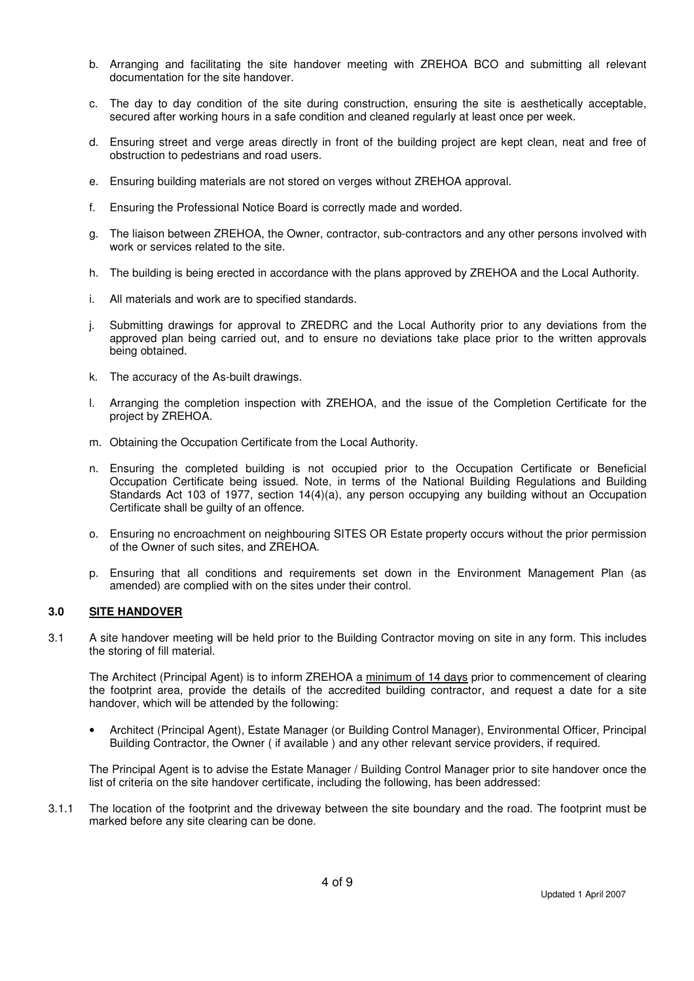- b. Arranging and facilitating the site handover meeting with ZREHOA BCO and submitting all relevant documentation for the site handover.
- c. The day to day condition of the site during construction, ensuring the site is aesthetically acceptable, secured after working hours in a safe condition and cleaned regularly at least once per week.
- d. Ensuring street and verge areas directly in front of the building project are kept clean, neat and free of obstruction to pedestrians and road users.
- e. Ensuring building materials are not stored on verges without ZREHOA approval.
- f. Ensuring the Professional Notice Board is correctly made and worded.
- g. The liaison between ZREHOA, the Owner, contractor, sub-contractors and any other persons involved with work or services related to the site.
- h. The building is being erected in accordance with the plans approved by ZREHOA and the Local Authority.
- i. All materials and work are to specified standards.
- j. Submitting drawings for approval to ZREDRC and the Local Authority prior to any deviations from the approved plan being carried out, and to ensure no deviations take place prior to the written approvals being obtained.
- k. The accuracy of the As-built drawings.
- l. Arranging the completion inspection with ZREHOA, and the issue of the Completion Certificate for the project by ZREHOA.
- m. Obtaining the Occupation Certificate from the Local Authority.
- n. Ensuring the completed building is not occupied prior to the Occupation Certificate or Beneficial Occupation Certificate being issued. Note, in terms of the National Building Regulations and Building Standards Act 103 of 1977, section 14(4)(a), any person occupying any building without an Occupation Certificate shall be guilty of an offence.
- o. Ensuring no encroachment on neighbouring SITES OR Estate property occurs without the prior permission of the Owner of such sites, and ZREHOA.
- p. Ensuring that all conditions and requirements set down in the Environment Management Plan (as amended) are complied with on the sites under their control.

#### **3.0 SITE HANDOVER**

3.1 A site handover meeting will be held prior to the Building Contractor moving on site in any form. This includes the storing of fill material.

The Architect (Principal Agent) is to inform ZREHOA a minimum of 14 days prior to commencement of clearing the footprint area, provide the details of the accredited building contractor, and request a date for a site handover, which will be attended by the following:

• Architect (Principal Agent), Estate Manager (or Building Control Manager), Environmental Officer, Principal Building Contractor, the Owner ( if available ) and any other relevant service providers, if required.

The Principal Agent is to advise the Estate Manager / Building Control Manager prior to site handover once the list of criteria on the site handover certificate, including the following, has been addressed:

3.1.1 The location of the footprint and the driveway between the site boundary and the road. The footprint must be marked before any site clearing can be done.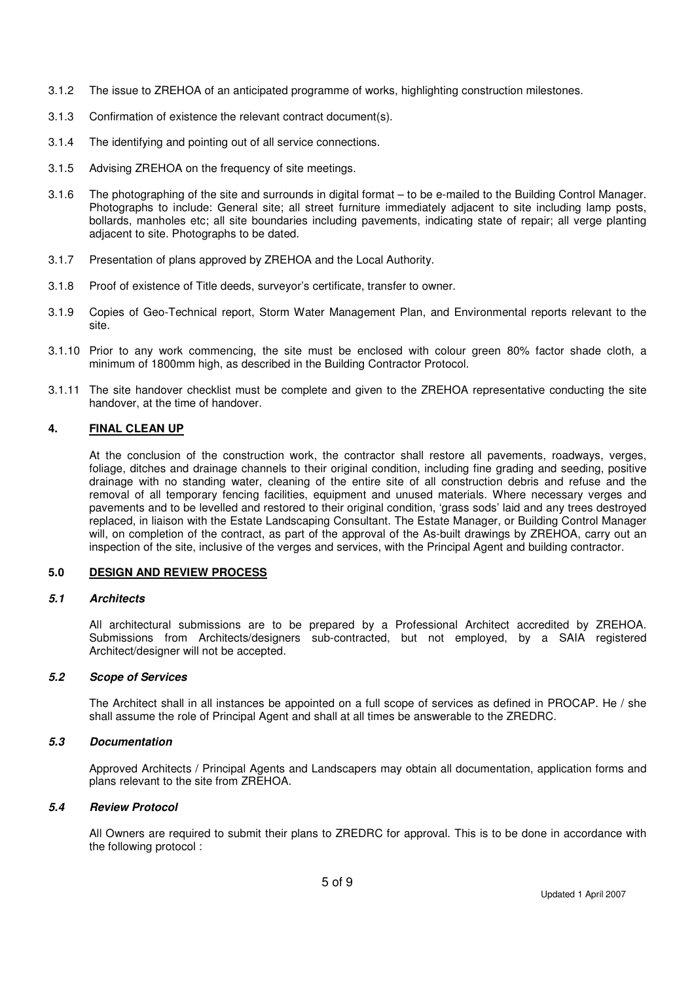- 3.1.2 The issue to ZREHOA of an anticipated programme of works, highlighting construction milestones.
- 3.1.3 Confirmation of existence the relevant contract document(s).
- 3.1.4 The identifying and pointing out of all service connections.
- 3.1.5 Advising ZREHOA on the frequency of site meetings.
- 3.1.6 The photographing of the site and surrounds in digital format to be e-mailed to the Building Control Manager. Photographs to include: General site; all street furniture immediately adjacent to site including lamp posts, bollards, manholes etc; all site boundaries including pavements, indicating state of repair; all verge planting adjacent to site. Photographs to be dated.
- 3.1.7 Presentation of plans approved by ZREHOA and the Local Authority.
- 3.1.8 Proof of existence of Title deeds, surveyor's certificate, transfer to owner.
- 3.1.9 Copies of Geo-Technical report, Storm Water Management Plan, and Environmental reports relevant to the site.
- 3.1.10 Prior to any work commencing, the site must be enclosed with colour green 80% factor shade cloth, a minimum of 1800mm high, as described in the Building Contractor Protocol.
- 3.1.11 The site handover checklist must be complete and given to the ZREHOA representative conducting the site handover, at the time of handover.

#### **4. FINAL CLEAN UP**

At the conclusion of the construction work, the contractor shall restore all pavements, roadways, verges, foliage, ditches and drainage channels to their original condition, including fine grading and seeding, positive drainage with no standing water, cleaning of the entire site of all construction debris and refuse and the removal of all temporary fencing facilities, equipment and unused materials. Where necessary verges and pavements and to be levelled and restored to their original condition, 'grass sods' laid and any trees destroyed replaced, in liaison with the Estate Landscaping Consultant. The Estate Manager, or Building Control Manager will, on completion of the contract, as part of the approval of the As-built drawings by ZREHOA, carry out an inspection of the site, inclusive of the verges and services, with the Principal Agent and building contractor.

#### **5.0 DESIGN AND REVIEW PROCESS**

#### *5.1 Architects*

All architectural submissions are to be prepared by a Professional Architect accredited by ZREHOA. Submissions from Architects/designers sub-contracted, but not employed, by a SAIA registered Architect/designer will not be accepted.

#### *5.2 Scope of Services*

The Architect shall in all instances be appointed on a full scope of services as defined in PROCAP. He / she shall assume the role of Principal Agent and shall at all times be answerable to the ZREDRC.

#### *5.3 Documentation*

Approved Architects / Principal Agents and Landscapers may obtain all documentation, application forms and plans relevant to the site from ZREHOA.

#### *5.4 Review Protocol*

All Owners are required to submit their plans to ZREDRC for approval. This is to be done in accordance with the following protocol :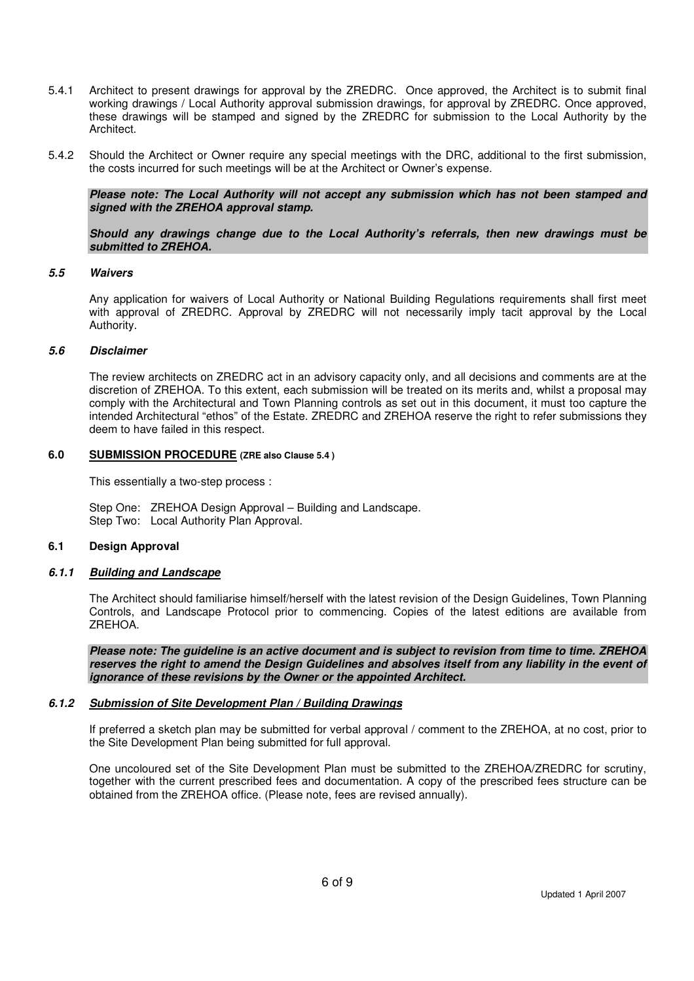- 5.4.1 Architect to present drawings for approval by the ZREDRC. Once approved, the Architect is to submit final working drawings / Local Authority approval submission drawings, for approval by ZREDRC. Once approved, these drawings will be stamped and signed by the ZREDRC for submission to the Local Authority by the Architect.
- 5.4.2 Should the Architect or Owner require any special meetings with the DRC, additional to the first submission, the costs incurred for such meetings will be at the Architect or Owner's expense.

*Please note: The Local Authority will not accept any submission which has not been stamped and signed with the ZREHOA approval stamp.* 

*Should any drawings change due to the Local Authority's referrals, then new drawings must be submitted to ZREHOA.*

#### *5.5 Waivers*

Any application for waivers of Local Authority or National Building Regulations requirements shall first meet with approval of ZREDRC. Approval by ZREDRC will not necessarily imply tacit approval by the Local Authority.

#### *5.6 Disclaimer*

The review architects on ZREDRC act in an advisory capacity only, and all decisions and comments are at the discretion of ZREHOA. To this extent, each submission will be treated on its merits and, whilst a proposal may comply with the Architectural and Town Planning controls as set out in this document, it must too capture the intended Architectural "ethos" of the Estate. ZREDRC and ZREHOA reserve the right to refer submissions they deem to have failed in this respect.

#### **6.0 SUBMISSION PROCEDURE (ZRE also Clause 5.4 )**

This essentially a two-step process :

Step One: ZREHOA Design Approval – Building and Landscape. Step Two: Local Authority Plan Approval.

#### **6.1 Design Approval**

#### *6.1.1 Building and Landscape*

 The Architect should familiarise himself/herself with the latest revision of the Design Guidelines, Town Planning Controls, and Landscape Protocol prior to commencing. Copies of the latest editions are available from ZREHOA.

*Please note: The guideline is an active document and is subject to revision from time to time. ZREHOA reserves the right to amend the Design Guidelines and absolves itself from any liability in the event of ignorance of these revisions by the Owner or the appointed Architect.* 

#### *6.1.2 Submission of Site Development Plan / Building Drawings*

 If preferred a sketch plan may be submitted for verbal approval / comment to the ZREHOA, at no cost, prior to the Site Development Plan being submitted for full approval.

One uncoloured set of the Site Development Plan must be submitted to the ZREHOA/ZREDRC for scrutiny, together with the current prescribed fees and documentation. A copy of the prescribed fees structure can be obtained from the ZREHOA office. (Please note, fees are revised annually).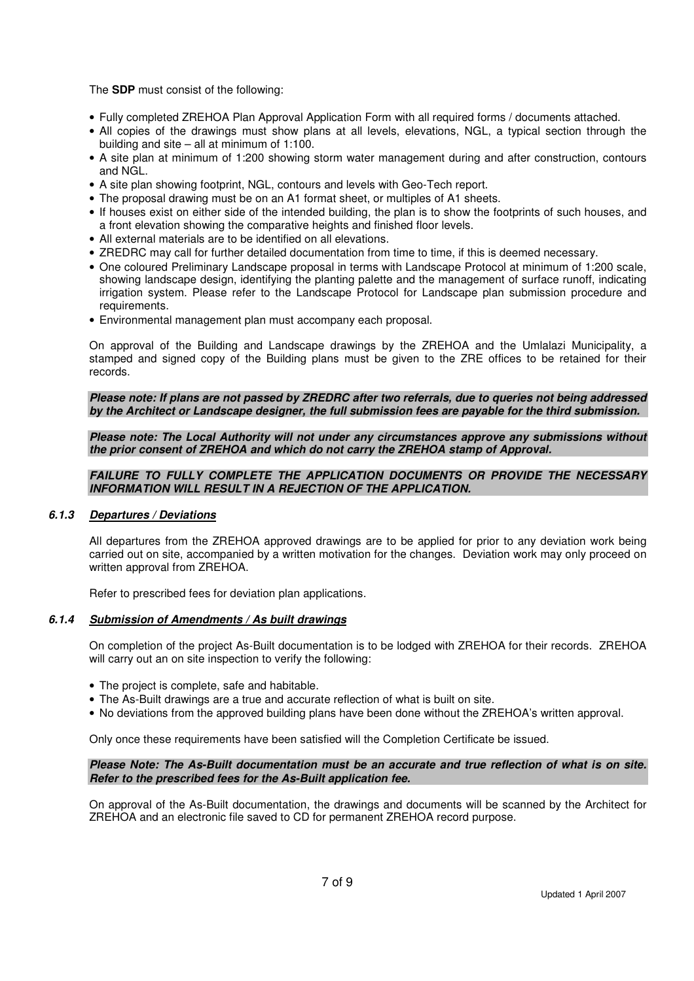The **SDP** must consist of the following:

- Fully completed ZREHOA Plan Approval Application Form with all required forms / documents attached.
- All copies of the drawings must show plans at all levels, elevations, NGL, a typical section through the building and site – all at minimum of 1:100.
- A site plan at minimum of 1:200 showing storm water management during and after construction, contours and NGL.
- A site plan showing footprint, NGL, contours and levels with Geo-Tech report.
- The proposal drawing must be on an A1 format sheet, or multiples of A1 sheets.
- If houses exist on either side of the intended building, the plan is to show the footprints of such houses, and a front elevation showing the comparative heights and finished floor levels.
- All external materials are to be identified on all elevations.
- ZREDRC may call for further detailed documentation from time to time, if this is deemed necessary.
- One coloured Preliminary Landscape proposal in terms with Landscape Protocol at minimum of 1:200 scale, showing landscape design, identifying the planting palette and the management of surface runoff, indicating irrigation system. Please refer to the Landscape Protocol for Landscape plan submission procedure and requirements.
- Environmental management plan must accompany each proposal.

On approval of the Building and Landscape drawings by the ZREHOA and the Umlalazi Municipality, a stamped and signed copy of the Building plans must be given to the ZRE offices to be retained for their records.

*Please note: If plans are not passed by ZREDRC after two referrals, due to queries not being addressed by the Architect or Landscape designer, the full submission fees are payable for the third submission.* 

*Please note: The Local Authority will not under any circumstances approve any submissions without the prior consent of ZREHOA and which do not carry the ZREHOA stamp of Approval.* 

#### *FAILURE TO FULLY COMPLETE THE APPLICATION DOCUMENTS OR PROVIDE THE NECESSARY INFORMATION WILL RESULT IN A REJECTION OF THE APPLICATION.*

#### *6.1.3 Departures / Deviations*

All departures from the ZREHOA approved drawings are to be applied for prior to any deviation work being carried out on site, accompanied by a written motivation for the changes. Deviation work may only proceed on written approval from ZREHOA.

Refer to prescribed fees for deviation plan applications.

#### *6.1.4 Submission of Amendments / As built drawings*

On completion of the project As-Built documentation is to be lodged with ZREHOA for their records. ZREHOA will carry out an on site inspection to verify the following:

- The project is complete, safe and habitable.
- The As-Built drawings are a true and accurate reflection of what is built on site.
- No deviations from the approved building plans have been done without the ZREHOA's written approval.

Only once these requirements have been satisfied will the Completion Certificate be issued.

#### *Please Note: The As-Built documentation must be an accurate and true reflection of what is on site. Refer to the prescribed fees for the As-Built application fee.*

On approval of the As-Built documentation, the drawings and documents will be scanned by the Architect for ZREHOA and an electronic file saved to CD for permanent ZREHOA record purpose.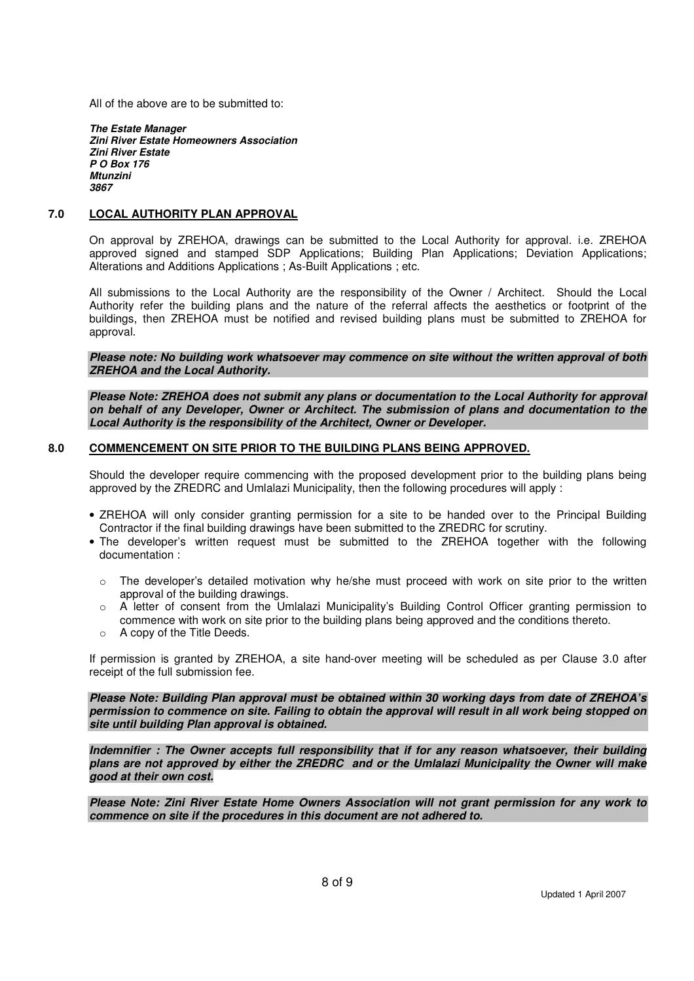All of the above are to be submitted to:

*The Estate Manager Zini River Estate Homeowners Association Zini River Estate P O Box 176 Mtunzini 3867*

#### **7.0 LOCAL AUTHORITY PLAN APPROVAL**

On approval by ZREHOA, drawings can be submitted to the Local Authority for approval. i.e. ZREHOA approved signed and stamped SDP Applications; Building Plan Applications; Deviation Applications; Alterations and Additions Applications ; As-Built Applications ; etc.

All submissions to the Local Authority are the responsibility of the Owner / Architect. Should the Local Authority refer the building plans and the nature of the referral affects the aesthetics or footprint of the buildings, then ZREHOA must be notified and revised building plans must be submitted to ZREHOA for approval.

*Please note: No building work whatsoever may commence on site without the written approval of both ZREHOA and the Local Authority.* 

*Please Note: ZREHOA does not submit any plans or documentation to the Local Authority for approval on behalf of any Developer, Owner or Architect. The submission of plans and documentation to the Local Authority is the responsibility of the Architect, Owner or Developer.* 

#### **8.0 COMMENCEMENT ON SITE PRIOR TO THE BUILDING PLANS BEING APPROVED.**

Should the developer require commencing with the proposed development prior to the building plans being approved by the ZREDRC and Umlalazi Municipality, then the following procedures will apply :

- ZREHOA will only consider granting permission for a site to be handed over to the Principal Building Contractor if the final building drawings have been submitted to the ZREDRC for scrutiny.
- The developer's written request must be submitted to the ZREHOA together with the following documentation :
	- $\circ$  The developer's detailed motivation why he/she must proceed with work on site prior to the written approval of the building drawings.
	- $\circ$  A letter of consent from the Umlalazi Municipality's Building Control Officer granting permission to commence with work on site prior to the building plans being approved and the conditions thereto.
	- o A copy of the Title Deeds.

If permission is granted by ZREHOA, a site hand-over meeting will be scheduled as per Clause 3.0 after receipt of the full submission fee.

*Please Note: Building Plan approval must be obtained within 30 working days from date of ZREHOA's permission to commence on site. Failing to obtain the approval will result in all work being stopped on site until building Plan approval is obtained.* 

*Indemnifier : The Owner accepts full responsibility that if for any reason whatsoever, their building plans are not approved by either the ZREDRC and or the Umlalazi Municipality the Owner will make good at their own cost.* 

*Please Note: Zini River Estate Home Owners Association will not grant permission for any work to commence on site if the procedures in this document are not adhered to.*